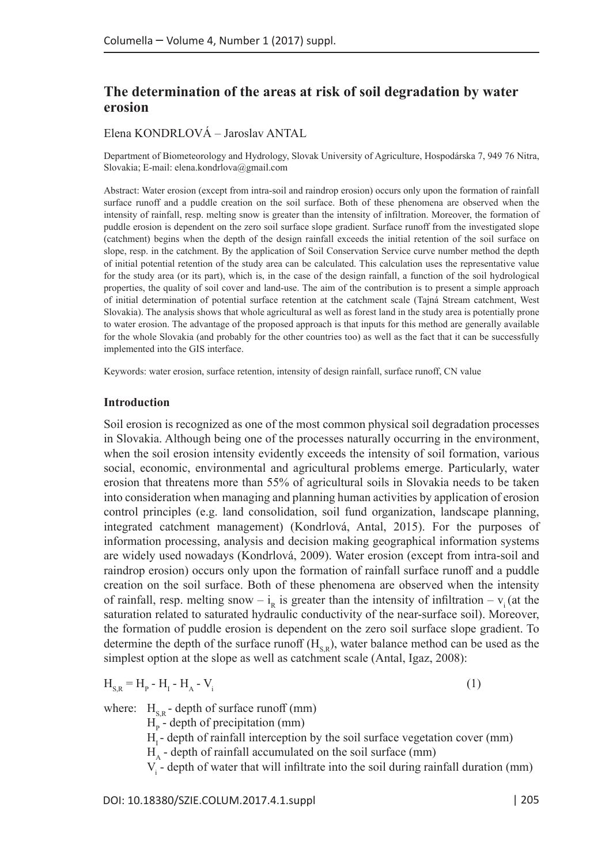# **The determination of the areas at risk of soil degradation by water erosion**

## Elena KONDRLOVÁ – Jaroslav ANTAL

Department of Biometeorology and Hydrology, Slovak University of Agriculture, Hospodárska 7, 949 76 Nitra, Slovakia; E-mail: [elena.kondrlova@gmail.com](mailto:John.Doe@mail.mail)

Abstract: Water erosion (except from intra-soil and raindrop erosion) occurs only upon the formation of rainfall surface runoff and a puddle creation on the soil surface. Both of these phenomena are observed when the intensity of rainfall, resp. melting snow is greater than the intensity of infiltration. Moreover, the formation of puddle erosion is dependent on the zero soil surface slope gradient. Surface runoff from the investigated slope (catchment) begins when the depth of the design rainfall exceeds the initial retention of the soil surface on slope, resp. in the catchment. By the application of Soil Conservation Service curve number method the depth of initial potential retention of the study area can be calculated. This calculation uses the representative value for the study area (or its part), which is, in the case of the design rainfall, a function of the soil hydrological properties, the quality of soil cover and land-use. The aim of the contribution is to present a simple approach of initial determination of potential surface retention at the catchment scale (Tajná Stream catchment, West Slovakia). The analysis shows that whole agricultural as well as forest land in the study area is potentially prone to water erosion. The advantage of the proposed approach is that inputs for this method are generally available for the whole Slovakia (and probably for the other countries too) as well as the fact that it can be successfully implemented into the GIS interface.

Keywords: water erosion, surface retention, intensity of design rainfall, surface runoff, CN value

#### **Introduction**

Soil erosion is recognized as one of the most common physical soil degradation processes in Slovakia. Although being one of the processes naturally occurring in the environment, when the soil erosion intensity evidently exceeds the intensity of soil formation, various social, economic, environmental and agricultural problems emerge. Particularly, water erosion that threatens more than 55% of agricultural soils in Slovakia needs to be taken into consideration when managing and planning human activities by application of erosion control principles (e.g. land consolidation, soil fund organization, landscape planning, integrated catchment management) (Kondrlová, Antal, 2015). For the purposes of information processing, analysis and decision making geographical information systems are widely used nowadays (Kondrlová, 2009). Water erosion (except from intra-soil and raindrop erosion) occurs only upon the formation of rainfall surface runoff and a puddle creation on the soil surface. Both of these phenomena are observed when the intensity of rainfall, resp. melting snow –  $i_R$  is greater than the intensity of infiltration –  $v_i$  (at the saturation related to saturated hydraulic conductivity of the near-surface soil). Moreover, the formation of puddle erosion is dependent on the zero soil surface slope gradient. To determine the depth of the surface runoff  $(H_{SP})$ , water balance method can be used as the simplest option at the slope as well as catchment scale (Antal, Igaz, 2008):

$$
H_{s,R} = H_p - H_1 - H_A - V_i
$$
 (1)

where:  $H_{\text{S}}$  - depth of surface runoff (mm)

 $H<sub>p</sub>$  - depth of precipitation (mm)

 $H<sub>r</sub>$  - depth of rainfall interception by the soil surface vegetation cover (mm)

 $H<sub>A</sub>$  - depth of rainfall accumulated on the soil surface (mm)

 $V_i$  - depth of water that will infiltrate into the soil during rainfall duration (mm)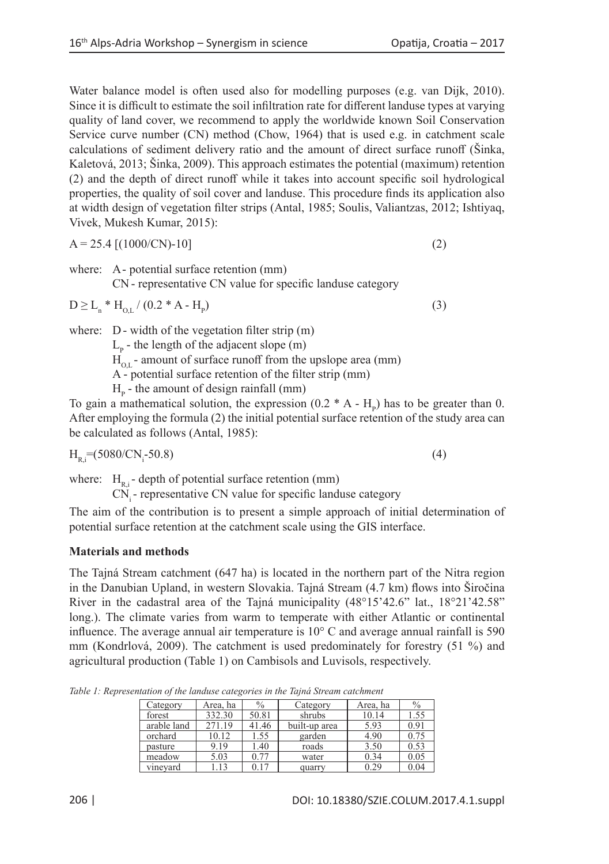Water balance model is often used also for modelling purposes (e.g. van Dijk, 2010). Since it is difficult to estimate the soil infiltration rate for different landuse types at varying quality of land cover, we recommend to apply the worldwide known Soil Conservation Service curve number (CN) method (Chow, 1964) that is used e.g. in catchment scale calculations of sediment delivery ratio and the amount of direct surface runoff (Šinka, Kaletová, 2013; Šinka, 2009). This approach estimates the potential (maximum) retention (2) and the depth of direct runoff while it takes into account specific soil hydrological properties, the quality of soil cover and landuse. This procedure finds its application also at width design of vegetation filter strips (Antal, 1985; Soulis, Valiantzas, 2012; Ishtiyaq, Vivek, Mukesh Kumar, 2015):

$$
A = 25.4 [(1000/CN)-10]
$$
 (2)

where: A- potential surface retention (mm) CN - representative CN value for specific landuse category

$$
D \ge L_n * H_{o,L} / (0.2 * A - H_p)
$$
 (3)

where: D - width of the vegetation filter strip (m)

 $L_p$  - the length of the adjacent slope (m)

 $H_{\text{out}}$  - amount of surface runoff from the upslope area (mm)

A - potential surface retention of the filter strip (mm)

 $H<sub>p</sub>$  - the amount of design rainfall (mm)

To gain a mathematical solution, the expression  $(0.2 * A - H_p)$  has to be greater than 0. After employing the formula (2) the initial potential surface retention of the study area can be calculated as follows (Antal, 1985):

 $H_{R,i}=(5080/CN_i-50.8)$  $-50.8)$  (4)

where:  $H_{R,i}$ - depth of potential surface retention (mm)

 $CN<sub>i</sub>$  - representative CN value for specific landuse category

The aim of the contribution is to present a simple approach of initial determination of potential surface retention at the catchment scale using the GIS interface.

# **Materials and methods**

The Tajná Stream catchment (647 ha) is located in the northern part of the Nitra region in the Danubian Upland, in western Slovakia. Tajná Stream (4.7 km) flows into Širočina River in the cadastral area of the Tajná municipality (48°15'42.6" lat., 18°21'42.58" long.). The climate varies from warm to temperate with either Atlantic or continental influence. The average annual air temperature is  $10^{\circ}$  C and average annual rainfall is 590 mm (Kondrlová, 2009). The catchment is used predominately for forestry (51 %) and agricultural production (Table 1) on Cambisols and Luvisols, respectively.

> Category Area, ha % Category Area, ha % forest | 332.30 | 50.81 | shrubs | 10.14 | 1.55 arable land 271.19 41.46 built-up area 5.93 0.91<br>orchard 10.12 1.55 garden 4.90 0.75 orchard 10.12 1.55 garden 4.90 0.75

*Table 1: Representation of the landuse categories in the Tajná Stream catchment*

| pasture  | .19  | ۔ 40 | roads  | 3.50 | U.J.     |
|----------|------|------|--------|------|----------|
| meadow   | 5.03 |      | water  | 0.34 | $0.05\,$ |
| vineyard |      | 0.17 | quarry |      | 0.04     |
|          |      |      |        |      |          |
|          |      |      |        |      |          |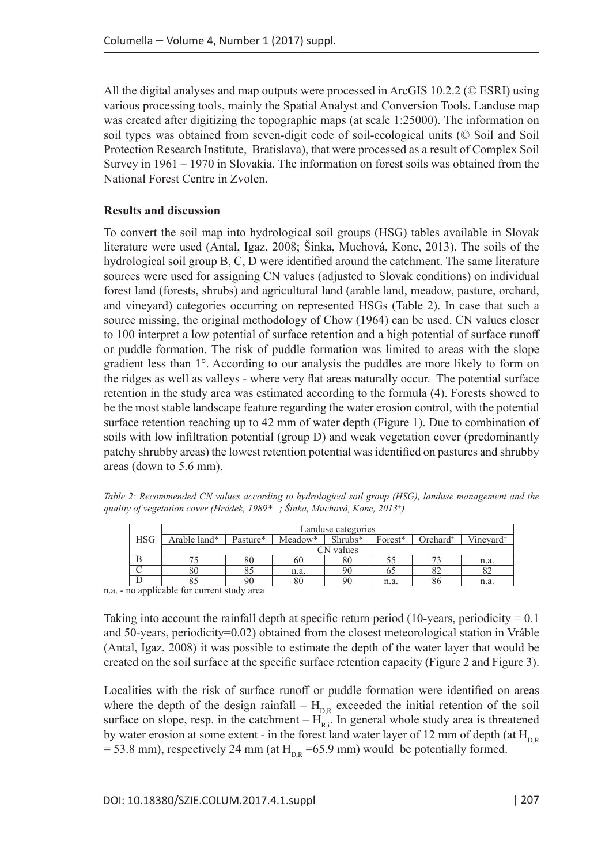All the digital analyses and map outputs were processed in ArcGIS 10.2.2 (© ESRI) using various processing tools, mainly the Spatial Analyst and Conversion Tools. Landuse map was created after digitizing the topographic maps (at scale 1:25000). The information on soil types was obtained from seven-digit code of soil-ecological units (© Soil and Soil Protection Research Institute, Bratislava), that were processed as a result of Complex Soil Survey in 1961 – 1970 in Slovakia. The information on forest soils was obtained from the National Forest Centre in Zvolen.

#### **Results and discussion**

To convert the soil map into hydrological soil groups (HSG) tables available in Slovak literature were used (Antal, Igaz, 2008; Šinka, Muchová, Konc, 2013). The soils of the hydrological soil group B, C, D were identified around the catchment. The same literature sources were used for assigning CN values (adjusted to Slovak conditions) on individual forest land (forests, shrubs) and agricultural land (arable land, meadow, pasture, orchard, and vineyard) categories occurring on represented HSGs (Table 2). In case that such a source missing, the original methodology of Chow (1964) can be used. CN values closer to 100 interpret a low potential of surface retention and a high potential of surface runoff or puddle formation. The risk of puddle formation was limited to areas with the slope gradient less than 1°. According to our analysis the puddles are more likely to form on the ridges as well as valleys - where very flat areas naturally occur. The potential surface retention in the study area was estimated according to the formula (4). Forests showed to be the most stable landscape feature regarding the water erosion control, with the potential surface retention reaching up to 42 mm of water depth (Figure 1). Due to combination of soils with low infiltration potential (group D) and weak vegetation cover (predominantly patchy shrubby areas) the lowest retention potential was identified on pastures and shrubby areas (down to 5.6 mm).

*Table 2: Recommended CN values according to hydrological soil group (HSG), landuse management and the quality of vegetation cover (Hrádek, 1989\* ; Šinka, Muchová, Konc, 2013+)*

|                                                                                                                | Landuse categories |          |         |           |         |             |                       |  |  |  |
|----------------------------------------------------------------------------------------------------------------|--------------------|----------|---------|-----------|---------|-------------|-----------------------|--|--|--|
| <b>HSG</b>                                                                                                     | Arable land*       | Pasture* | Meadow* | $Shrubs*$ | Forest* | $Orchard^+$ | Vinevard <sup>+</sup> |  |  |  |
|                                                                                                                | CN values          |          |         |           |         |             |                       |  |  |  |
|                                                                                                                |                    | 80       | 60      | 80        |         |             | n.a.                  |  |  |  |
|                                                                                                                |                    |          | n.a.    | 96        |         | 82          |                       |  |  |  |
|                                                                                                                |                    | 90       | 80      | 90        | n.a.    | 86          | n.a.                  |  |  |  |
| to a transportation of the distribution of the state of the state of the state of the state of the state of th |                    |          |         |           |         |             |                       |  |  |  |

n.a. - no applicable for current study area

Taking into account the rainfall depth at specific return period (10-years, periodicity  $= 0.1$ ) and 50-years, periodicity=0.02) obtained from the closest meteorological station in Vráble (Antal, Igaz, 2008) it was possible to estimate the depth of the water layer that would be created on the soil surface at the specific surface retention capacity (Figure 2 and Figure 3).

Localities with the risk of surface runoff or puddle formation were identified on areas where the depth of the design rainfall –  $H_{DR}$  exceeded the initial retention of the soil surface on slope, resp. in the catchment  $-H<sub>R<sub>i</sub></sub>$ . In general whole study area is threatened by water erosion at some extent - in the forest land water layer of 12 mm of depth (at  $H_{DR}$  $= 53.8$  mm), respectively 24 mm (at H<sub>n R</sub> =65.9 mm) would be potentially formed.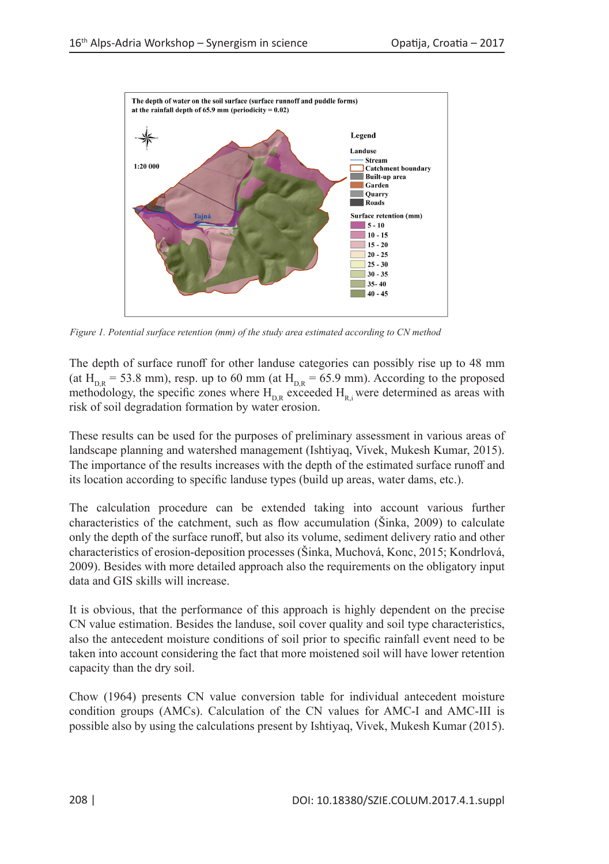

*Figure 1. Potential surface retention (mm) of the study area estimated according to CN method*

The depth of surface runoff for other landuse categories can possibly rise up to 48 mm (at  $H_{DR} = 53.8$  mm), resp. up to 60 mm (at  $H_{DR} = 65.9$  mm). According to the proposed methodology, the specific zones where  $H_{DR}$  exceeded  $H_{R}$ ; were determined as areas with risk of soil degradation formation by water erosion.

These results can be used for the purposes of preliminary assessment in various areas of landscape planning and watershed management (Ishtiyaq, Vivek, Mukesh Kumar, 2015). The importance of the results increases with the depth of the estimated surface runoff and its location according to specific landuse types (build up areas, water dams, etc.).

The calculation procedure can be extended taking into account various further characteristics of the catchment, such as flow accumulation (Šinka, 2009) to calculate only the depth of the surface runoff, but also its volume, sediment delivery ratio and other characteristics of erosion-deposition processes (Šinka, Muchová, Konc, 2015; Kondrlová, 2009). Besides with more detailed approach also the requirements on the obligatory input data and GIS skills will increase.

It is obvious, that the performance of this approach is highly dependent on the precise CN value estimation. Besides the landuse, soil cover quality and soil type characteristics, also the antecedent moisture conditions of soil prior to specific rainfall event need to be taken into account considering the fact that more moistened soil will have lower retention capacity than the dry soil.

Chow (1964) presents CN value conversion table for individual antecedent moisture condition groups (AMCs). Calculation of the CN values for AMC-I and AMC-III is possible also by using the calculations present by Ishtiyaq, Vivek, Mukesh Kumar (2015).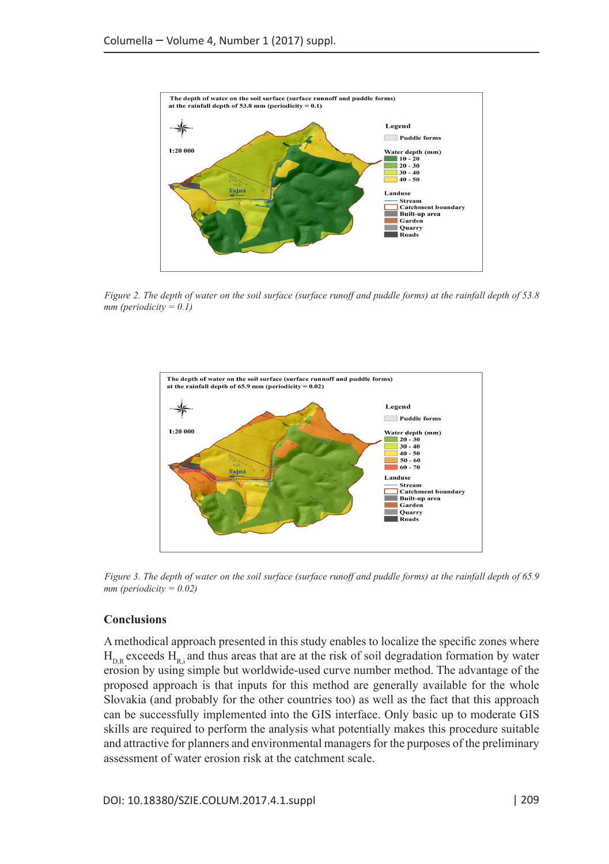

*Figure 2. The depth of water on the soil surface (surface runoff and puddle forms) at the rainfall depth of 53.8 mm (periodicity = 0.1)*



*Figure 3. The depth of water on the soil surface (surface runoff and puddle forms) at the rainfall depth of 65.9 mm (periodicity = 0.02)*

#### **Conclusions**

A methodical approach presented in this study enables to localize the specific zones where  $H_{DR}$  exceeds  $H_{R}$ ; and thus areas that are at the risk of soil degradation formation by water erosion by using simple but worldwide-used curve number method. The advantage of the proposed approach is that inputs for this method are generally available for the whole Slovakia (and probably for the other countries too) as well as the fact that this approach can be successfully implemented into the GIS interface. Only basic up to moderate GIS skills are required to perform the analysis what potentially makes this procedure suitable and attractive for planners and environmental managers for the purposes of the preliminary assessment of water erosion risk at the catchment scale.